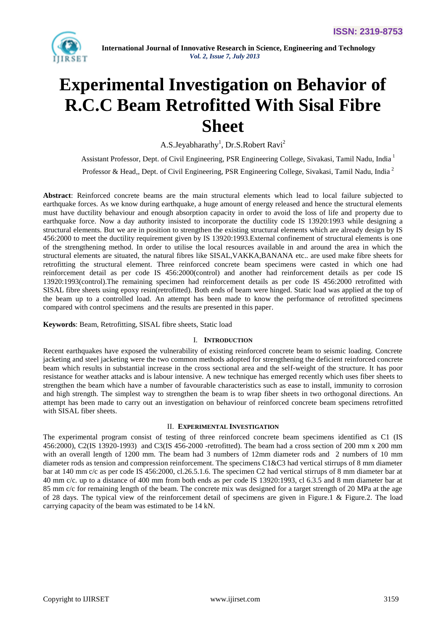

# **Experimental Investigation on Behavior of R.C.C Beam Retrofitted With Sisal Fibre Sheet**

A.S.Jeyabharathy<sup>1</sup>, Dr.S.Robert Ravi<sup>2</sup>

Assistant Professor, Dept. of Civil Engineering, PSR Engineering College, Sivakasi, Tamil Nadu, India <sup>1</sup> Professor & Head,, Dept. of Civil Engineering, PSR Engineering College, Sivakasi, Tamil Nadu, India <sup>2</sup>

**Abstract**: Reinforced concrete beams are the main structural elements which lead to local failure subjected to earthquake forces. As we know during earthquake, a huge amount of energy released and hence the structural elements must have ductility behaviour and enough absorption capacity in order to avoid the loss of life and property due to earthquake force. Now a day authority insisted to incorporate the ductility code IS 13920:1993 while designing a structural elements. But we are in position to strengthen the existing structural elements which are already design by IS 456:2000 to meet the ductility requirement given by IS 13920:1993.External confinement of structural elements is one of the strengthening method. In order to utilise the local resources available in and around the area in which the structural elements are situated, the natural fibres like SISAL,VAKKA,BANANA etc.. are used make fibre sheets for retrofitting the structural element. Three reinforced concrete beam specimens were casted in which one had reinforcement detail as per code IS 456:2000(control) and another had reinforcement details as per code IS 13920:1993(control).The remaining specimen had reinforcement details as per code IS 456:2000 retrofitted with SISAL fibre sheets using epoxy resin(retrofitted). Both ends of beam were hinged. Static load was applied at the top of the beam up to a controlled load. An attempt has been made to know the performance of retrofitted specimens compared with control specimens and the results are presented in this paper.

**Keywords**: Beam, Retrofitting, SISAL fibre sheets, Static load

# I. **INTRODUCTION**

Recent earthquakes have exposed the vulnerability of existing reinforced concrete beam to seismic loading. Concrete jacketing and steel jacketing were the two common methods adopted for strengthening the deficient reinforced concrete beam which results in substantial increase in the cross sectional area and the self-weight of the structure. It has poor resistance for weather attacks and is labour intensive. A new technique has emerged recently which uses fiber sheets to strengthen the beam which have a number of favourable characteristics such as ease to install, immunity to corrosion and high strength. The simplest way to strengthen the beam is to wrap fiber sheets in two orthogonal directions. An attempt has been made to carry out an investigation on behaviour of reinforced concrete beam specimens retrofitted with SISAL fiber sheets.

# II. **EXPERIMENTAL INVESTIGATION**

The experimental program consist of testing of three reinforced concrete beam specimens identified as C1 (IS 456:2000), C2(IS 13920-1993) and C3(IS 456-2000 -retrofitted). The beam had a cross section of 200 mm x 200 mm with an overall length of 1200 mm. The beam had 3 numbers of 12mm diameter rods and 2 numbers of 10 mm diameter rods as tension and compression reinforcement. The specimens C1&C3 had vertical stirrups of 8 mm diameter bar at 140 mm c/c as per code IS 456:2000, cl.26.5.1.6. The specimen C2 had vertical stirrups of 8 mm diameter bar at 40 mm c/c. up to a distance of 400 mm from both ends as per code IS 13920:1993, cl 6.3.5 and 8 mm diameter bar at 85 mm c/c for remaining length of the beam. The concrete mix was designed for a target strength of 20 MPa at the age of 28 days. The typical view of the reinforcement detail of specimens are given in Figure.1 & Figure.2. The load carrying capacity of the beam was estimated to be 14 kN.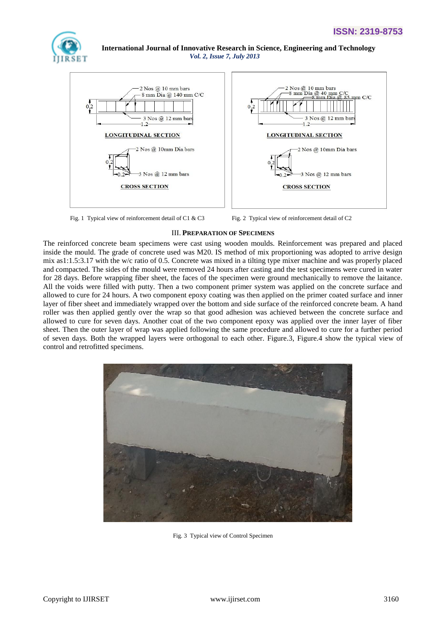



Fig. 1 Typical view of reinforcement detail of C1 & C3 Fig. 2 Typical view of reinforcement detail of C2

# III. **PREPARATION OF SPECIMENS**

The reinforced concrete beam specimens were cast using wooden moulds. Reinforcement was prepared and placed inside the mould. The grade of concrete used was M20. IS method of mix proportioning was adopted to arrive design mix as1:1.5:3.17 with the w/c ratio of 0.5. Concrete was mixed in a tilting type mixer machine and was properly placed and compacted. The sides of the mould were removed 24 hours after casting and the test specimens were cured in water for 28 days. Before wrapping fiber sheet, the faces of the specimen were ground mechanically to remove the laitance. All the voids were filled with putty. Then a two component primer system was applied on the concrete surface and allowed to cure for 24 hours. A two component epoxy coating was then applied on the primer coated surface and inner layer of fiber sheet and immediately wrapped over the bottom and side surface of the reinforced concrete beam. A hand roller was then applied gently over the wrap so that good adhesion was achieved between the concrete surface and allowed to cure for seven days. Another coat of the two component epoxy was applied over the inner layer of fiber sheet. Then the outer layer of wrap was applied following the same procedure and allowed to cure for a further period of seven days. Both the wrapped layers were orthogonal to each other. Figure.3, Figure.4 show the typical view of control and retrofitted specimens.



Fig. 3 Typical view of Control Specimen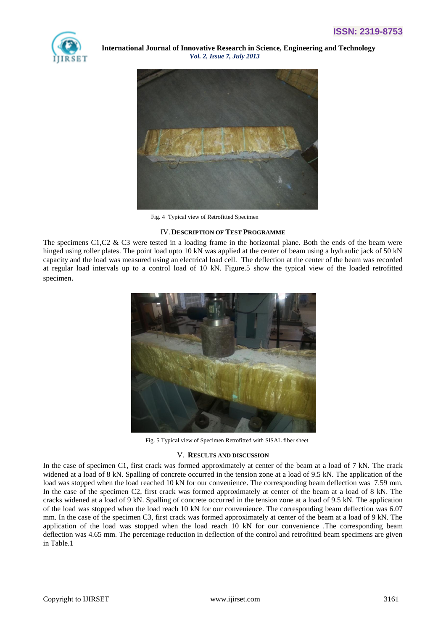



Fig. 4 Typical view of Retrofitted Specimen

# IV.**DESCRIPTION OF TEST PROGRAMME**

The specimens C1,C2  $\&$  C3 were tested in a loading frame in the horizontal plane. Both the ends of the beam were hinged using roller plates. The point load upto 10 kN was applied at the center of beam using a hydraulic jack of 50 kN capacity and the load was measured using an electrical load cell. The deflection at the center of the beam was recorded at regular load intervals up to a control load of 10 kN. Figure.5 show the typical view of the loaded retrofitted specimen.



Fig. 5 Typical view of Specimen Retrofitted with SISAL fiber sheet

# V. **RESULTS AND DISCUSSION**

In the case of specimen C1, first crack was formed approximately at center of the beam at a load of 7 kN. The crack widened at a load of 8 kN. Spalling of concrete occurred in the tension zone at a load of 9.5 kN. The application of the load was stopped when the load reached 10 kN for our convenience. The corresponding beam deflection was 7.59 mm. In the case of the specimen C2, first crack was formed approximately at center of the beam at a load of 8 kN. The cracks widened at a load of 9 kN. Spalling of concrete occurred in the tension zone at a load of 9.5 kN. The application of the load was stopped when the load reach 10 kN for our convenience. The corresponding beam deflection was 6.07 mm. In the case of the specimen C3, first crack was formed approximately at center of the beam at a load of 9 kN. The application of the load was stopped when the load reach 10 kN for our convenience .The corresponding beam deflection was 4.65 mm. The percentage reduction in deflection of the control and retrofitted beam specimens are given in Table.1